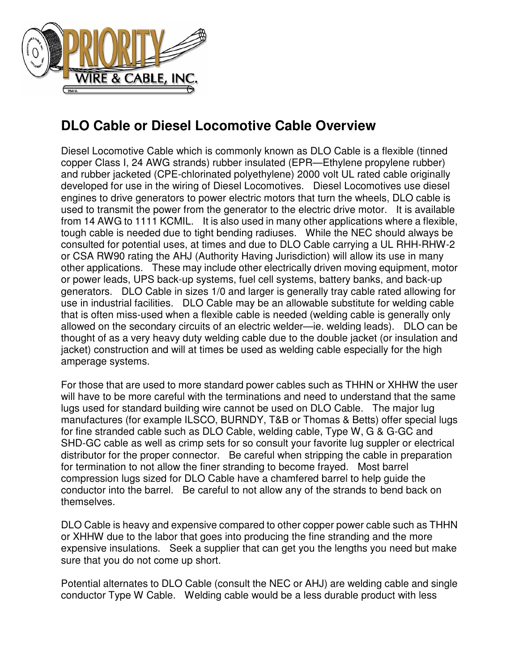

## **DLO Cable or Diesel Locomotive Cable Overview**

Diesel Locomotive Cable which is commonly known as DLO Cable is a flexible (tinned copper Class I, 24 AWG strands) rubber insulated (EPR—Ethylene propylene rubber) and rubber jacketed (CPE-chlorinated polyethylene) 2000 volt UL rated cable originally developed for use in the wiring of Diesel Locomotives. Diesel Locomotives use diesel engines to drive generators to power electric motors that turn the wheels, DLO cable is used to transmit the power from the generator to the electric drive motor. It is available from 14 AWG to 1111 KCMIL. It is also used in many other applications where a flexible, tough cable is needed due to tight bending radiuses. While the NEC should always be consulted for potential uses, at times and due to DLO Cable carrying a UL RHH-RHW-2 or CSA RW90 rating the AHJ (Authority Having Jurisdiction) will allow its use in many other applications. These may include other electrically driven moving equipment, motor or power leads, UPS back-up systems, fuel cell systems, battery banks, and back-up generators. DLO Cable in sizes 1/0 and larger is generally tray cable rated allowing for use in industrial facilities. DLO Cable may be an allowable substitute for welding cable that is often miss-used when a flexible cable is needed (welding cable is generally only allowed on the secondary circuits of an electric welder—ie. welding leads). DLO can be thought of as a very heavy duty welding cable due to the double jacket (or insulation and jacket) construction and will at times be used as welding cable especially for the high amperage systems.

For those that are used to more standard power cables such as THHN or XHHW the user will have to be more careful with the terminations and need to understand that the same lugs used for standard building wire cannot be used on DLO Cable. The major lug manufactures (for example ILSCO, BURNDY, T&B or Thomas & Betts) offer special lugs for fine stranded cable such as DLO Cable, welding cable, Type W, G & G-GC and SHD-GC cable as well as crimp sets for so consult your favorite lug suppler or electrical distributor for the proper connector. Be careful when stripping the cable in preparation for termination to not allow the finer stranding to become frayed. Most barrel compression lugs sized for DLO Cable have a chamfered barrel to help guide the conductor into the barrel. Be careful to not allow any of the strands to bend back on themselves.

DLO Cable is heavy and expensive compared to other copper power cable such as THHN or XHHW due to the labor that goes into producing the fine stranding and the more expensive insulations. Seek a supplier that can get you the lengths you need but make sure that you do not come up short.

Potential alternates to DLO Cable (consult the NEC or AHJ) are welding cable and single conductor Type W Cable. Welding cable would be a less durable product with less